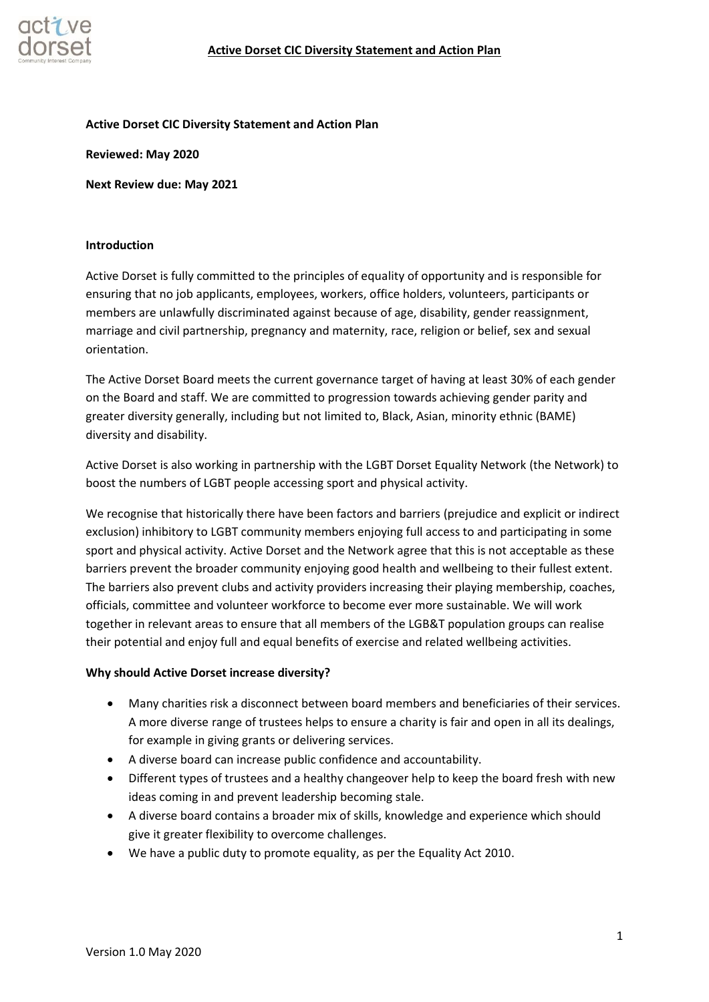

#### **Active Dorset CIC Diversity Statement and Action Plan**

**Reviewed: May 2020**

**Next Review due: May 2021**

#### **Introduction**

Active Dorset is fully committed to the principles of equality of opportunity and is responsible for ensuring that no job applicants, employees, workers, office holders, volunteers, participants or members are unlawfully discriminated against because of age, disability, gender reassignment, marriage and civil partnership, pregnancy and maternity, race, religion or belief, sex and sexual orientation.

The Active Dorset Board meets the current governance target of having at least 30% of each gender on the Board and staff. We are committed to progression towards achieving gender parity and greater diversity generally, including but not limited to, Black, Asian, minority ethnic (BAME) diversity and disability.

Active Dorset is also working in partnership with the LGBT Dorset Equality Network (the Network) to boost the numbers of LGBT people accessing sport and physical activity.

We recognise that historically there have been factors and barriers (prejudice and explicit or indirect exclusion) inhibitory to LGBT community members enjoying full access to and participating in some sport and physical activity. Active Dorset and the Network agree that this is not acceptable as these barriers prevent the broader community enjoying good health and wellbeing to their fullest extent. The barriers also prevent clubs and activity providers increasing their playing membership, coaches, officials, committee and volunteer workforce to become ever more sustainable. We will work together in relevant areas to ensure that all members of the LGB&T population groups can realise their potential and enjoy full and equal benefits of exercise and related wellbeing activities.

#### **Why should Active Dorset increase diversity?**

- Many charities risk a disconnect between board members and beneficiaries of their services. A more diverse range of trustees helps to ensure a charity is fair and open in all its dealings, for example in giving grants or delivering services.
- A diverse board can increase public confidence and accountability.
- Different types of trustees and a healthy changeover help to keep the board fresh with new ideas coming in and prevent leadership becoming stale.
- A diverse board contains a broader mix of skills, knowledge and experience which should give it greater flexibility to overcome challenges.
- We have a public duty to promote equality, as per the Equality Act 2010.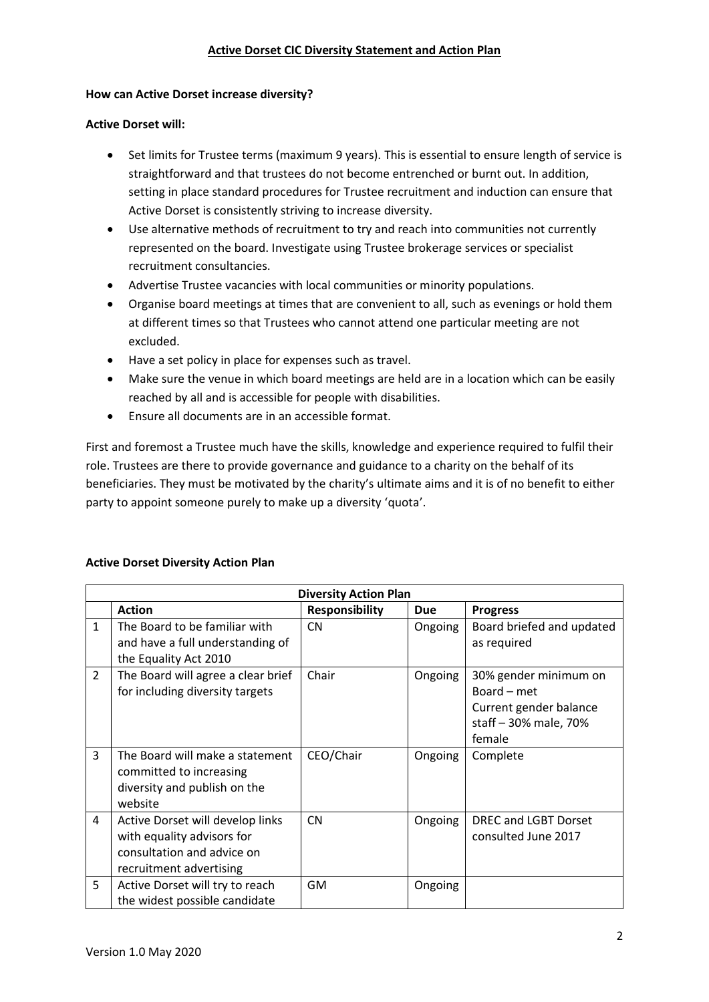## **Active Dorset CIC Diversity Statement and Action Plan**

#### **How can Active Dorset increase diversity?**

### **Active Dorset will:**

- Set limits for Trustee terms (maximum 9 years). This is essential to ensure length of service is straightforward and that trustees do not become entrenched or burnt out. In addition, setting in place standard procedures for Trustee recruitment and induction can ensure that Active Dorset is consistently striving to increase diversity.
- Use alternative methods of recruitment to try and reach into communities not currently represented on the board. Investigate using Trustee brokerage services or specialist recruitment consultancies.
- Advertise Trustee vacancies with local communities or minority populations.
- Organise board meetings at times that are convenient to all, such as evenings or hold them at different times so that Trustees who cannot attend one particular meeting are not excluded.
- Have a set policy in place for expenses such as travel.
- Make sure the venue in which board meetings are held are in a location which can be easily reached by all and is accessible for people with disabilities.
- Ensure all documents are in an accessible format.

First and foremost a Trustee much have the skills, knowledge and experience required to fulfil their role. Trustees are there to provide governance and guidance to a charity on the behalf of its beneficiaries. They must be motivated by the charity's ultimate aims and it is of no benefit to either party to appoint someone purely to make up a diversity 'quota'.

## **Active Dorset Diversity Action Plan**

| <b>Diversity Action Plan</b> |                                                                                                                         |                       |            |                                                                                                   |  |  |
|------------------------------|-------------------------------------------------------------------------------------------------------------------------|-----------------------|------------|---------------------------------------------------------------------------------------------------|--|--|
|                              | <b>Action</b>                                                                                                           | <b>Responsibility</b> | <b>Due</b> | <b>Progress</b>                                                                                   |  |  |
| $\mathbf{1}$                 | The Board to be familiar with<br>and have a full understanding of<br>the Equality Act 2010                              | <b>CN</b>             | Ongoing    | Board briefed and updated<br>as required                                                          |  |  |
| $\overline{2}$               | The Board will agree a clear brief<br>for including diversity targets                                                   | Chair                 | Ongoing    | 30% gender minimum on<br>Board – met<br>Current gender balance<br>staff - 30% male, 70%<br>female |  |  |
| 3                            | The Board will make a statement<br>committed to increasing<br>diversity and publish on the<br>website                   | CEO/Chair             | Ongoing    | Complete                                                                                          |  |  |
| 4                            | Active Dorset will develop links<br>with equality advisors for<br>consultation and advice on<br>recruitment advertising | <b>CN</b>             | Ongoing    | DREC and LGBT Dorset<br>consulted June 2017                                                       |  |  |
| 5                            | Active Dorset will try to reach<br>the widest possible candidate                                                        | GM                    | Ongoing    |                                                                                                   |  |  |